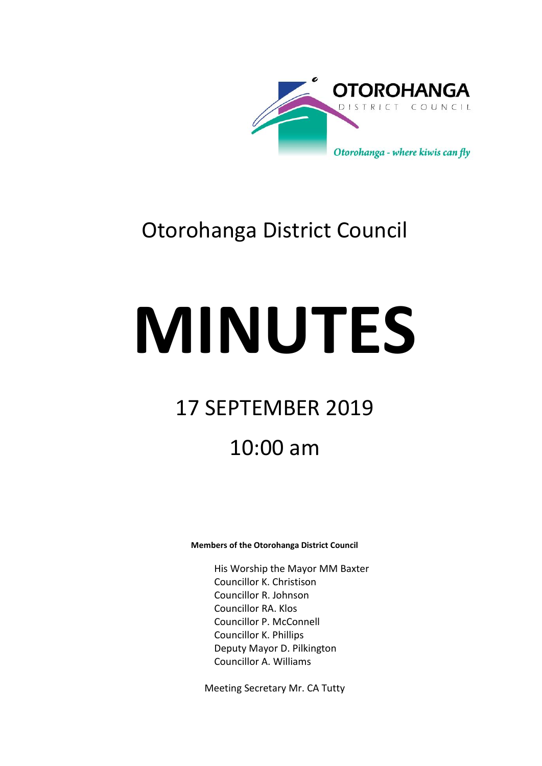

## Otorohanga District Council

# **MINUTES**

## 17 SEPTEMBER 2019

## 10:00 am

#### **Members of the Otorohanga District Council**

His Worship the Mayor MM Baxter Councillor K. Christison Councillor R. Johnson Councillor RA. Klos Councillor P. McConnell Councillor K. Phillips Deputy Mayor D. Pilkington Councillor A. Williams

Meeting Secretary Mr. CA Tutty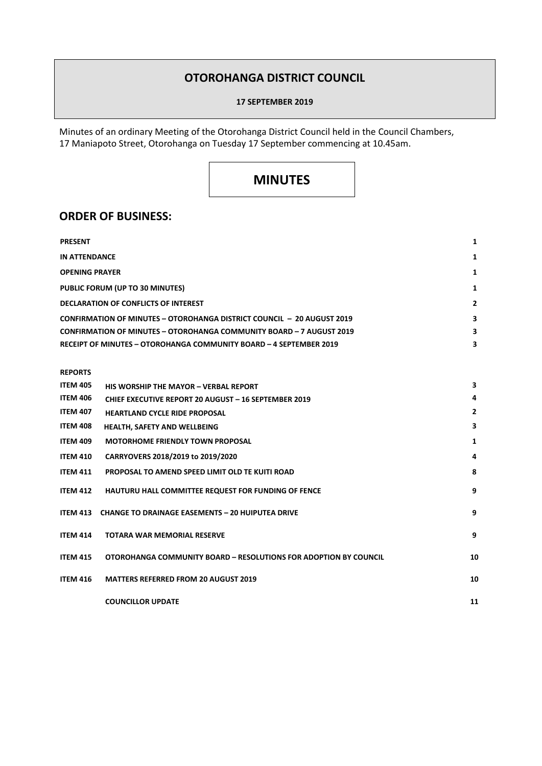#### **OTOROHANGA DISTRICT COUNCIL**

#### **17 SEPTEMBER 2019**

Minutes of an ordinary Meeting of the Otorohanga District Council held in the Council Chambers, 17 Maniapoto Street, Otorohanga on Tuesday 17 September commencing at 10.45am.

### **MINUTES**

#### **ORDER OF BUSINESS:**

| <b>PRESENT</b>                                                                |                |
|-------------------------------------------------------------------------------|----------------|
| <b>IN ATTENDANCE</b>                                                          |                |
| <b>OPENING PRAYER</b>                                                         |                |
| PUBLIC FORUM (UP TO 30 MINUTES)                                               |                |
| DECLARATION OF CONFLICTS OF INTEREST                                          | $\overline{2}$ |
| <b>CONFIRMATION OF MINUTES - OTOROHANGA DISTRICT COUNCIL - 20 AUGUST 2019</b> | 3              |
| CONFIRMATION OF MINUTES - OTOROHANGA COMMUNITY BOARD - 7 AUGUST 2019          | 3              |
| RECEIPT OF MINUTES - OTOROHANGA COMMUNITY BOARD - 4 SEPTEMBER 2019            | 3              |

#### **REPORTS**

| <b>ITEM 405</b> | HIS WORSHIP THE MAYOR - VERRAI REPORT                            | 3              |
|-----------------|------------------------------------------------------------------|----------------|
| <b>ITEM 406</b> | <b>CHIEF EXECUTIVE REPORT 20 AUGUST - 16 SEPTEMBER 2019</b>      | 4              |
| <b>ITEM 407</b> | <b>HEARTLAND CYCLE RIDE PROPOSAL</b>                             | $\overline{2}$ |
| <b>ITEM 408</b> | <b>HEALTH, SAFETY AND WELLBEING</b>                              | 3              |
| <b>ITEM 409</b> | <b>MOTORHOME FRIENDLY TOWN PROPOSAL</b>                          | 1              |
| <b>ITEM 410</b> | CARRYOVERS 2018/2019 to 2019/2020                                | 4              |
| <b>ITEM 411</b> | PROPOSAL TO AMEND SPEED LIMIT OLD TE KUITI ROAD                  | 8              |
| <b>ITEM 412</b> | HAUTURU HALL COMMITTEE REQUEST FOR FUNDING OF FENCE              | 9              |
|                 | <b>ITEM 413 CHANGE TO DRAINAGE EASEMENTS - 20 HUIPUTEA DRIVE</b> | 9              |
| <b>ITEM 414</b> | <b>TOTARA WAR MEMORIAL RESERVE</b>                               | 9              |
| <b>ITEM 415</b> | OTOROHANGA COMMUNITY BOARD - RESOLUTIONS FOR ADOPTION BY COUNCIL | 10             |
| <b>ITEM 416</b> | <b>MATTERS REFERRED FROM 20 AUGUST 2019</b>                      | 10             |
|                 | <b>COUNCILLOR UPDATE</b>                                         | 11             |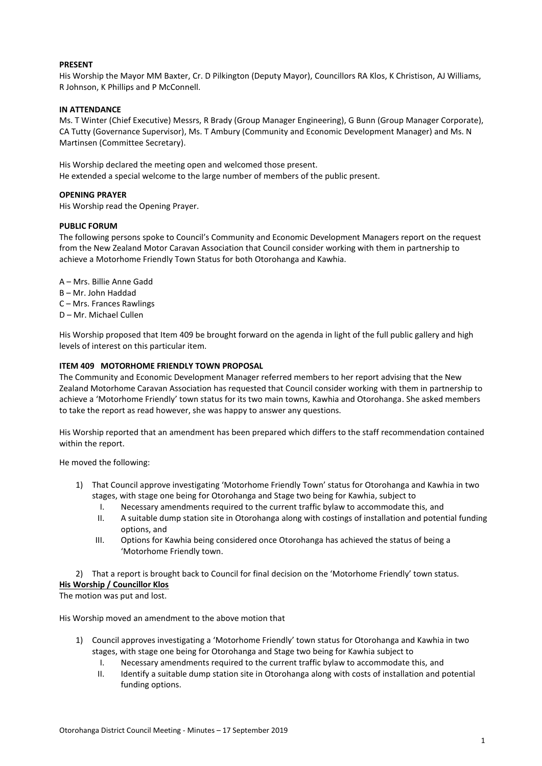#### **PRESENT**

His Worship the Mayor MM Baxter, Cr. D Pilkington (Deputy Mayor), Councillors RA Klos, K Christison, AJ Williams, R Johnson, K Phillips and P McConnell.

#### **IN ATTENDANCE**

Ms. T Winter (Chief Executive) Messrs, R Brady (Group Manager Engineering), G Bunn (Group Manager Corporate), CA Tutty (Governance Supervisor), Ms. T Ambury (Community and Economic Development Manager) and Ms. N Martinsen (Committee Secretary).

His Worship declared the meeting open and welcomed those present. He extended a special welcome to the large number of members of the public present.

#### **OPENING PRAYER**

His Worship read the Opening Prayer.

#### **PUBLIC FORUM**

The following persons spoke to Council's Community and Economic Development Managers report on the request from the New Zealand Motor Caravan Association that Council consider working with them in partnership to achieve a Motorhome Friendly Town Status for both Otorohanga and Kawhia.

A – Mrs. Billie Anne Gadd

- B Mr. John Haddad
- C Mrs. Frances Rawlings
- D Mr. Michael Cullen

His Worship proposed that Item 409 be brought forward on the agenda in light of the full public gallery and high levels of interest on this particular item.

#### **ITEM 409 MOTORHOME FRIENDLY TOWN PROPOSAL**

The Community and Economic Development Manager referred members to her report advising that the New Zealand Motorhome Caravan Association has requested that Council consider working with them in partnership to achieve a 'Motorhome Friendly' town status for its two main towns, Kawhia and Otorohanga. She asked members to take the report as read however, she was happy to answer any questions.

His Worship reported that an amendment has been prepared which differs to the staff recommendation contained within the report.

He moved the following:

- 1) That Council approve investigating 'Motorhome Friendly Town' status for Otorohanga and Kawhia in two stages, with stage one being for Otorohanga and Stage two being for Kawhia, subject to
	- I. Necessary amendments required to the current traffic bylaw to accommodate this, and
	- II. A suitable dump station site in Otorohanga along with costings of installation and potential funding options, and
	- III. Options for Kawhia being considered once Otorohanga has achieved the status of being a 'Motorhome Friendly town.

2) That a report is brought back to Council for final decision on the 'Motorhome Friendly' town status.

#### **His Worship / Councillor Klos**

The motion was put and lost.

His Worship moved an amendment to the above motion that

- 1) Council approves investigating a 'Motorhome Friendly' town status for Otorohanga and Kawhia in two stages, with stage one being for Otorohanga and Stage two being for Kawhia subject to
	- I. Necessary amendments required to the current traffic bylaw to accommodate this, and
	- II. Identify a suitable dump station site in Otorohanga along with costs of installation and potential funding options.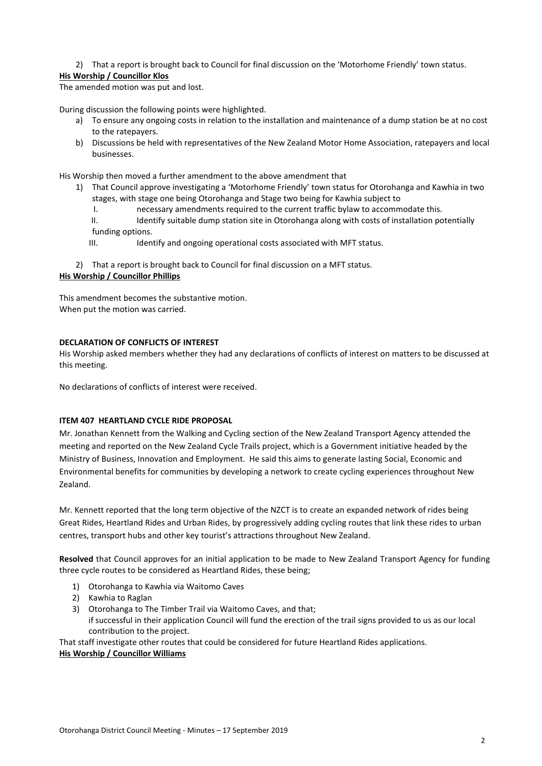#### 2) That a report is brought back to Council for final discussion on the 'Motorhome Friendly' town status.

#### **His Worship / Councillor Klos**

The amended motion was put and lost.

During discussion the following points were highlighted.

- a) To ensure any ongoing costs in relation to the installation and maintenance of a dump station be at no cost to the ratepayers.
- b) Discussions be held with representatives of the New Zealand Motor Home Association, ratepayers and local businesses.

His Worship then moved a further amendment to the above amendment that

- 1) That Council approve investigating a 'Motorhome Friendly' town status for Otorohanga and Kawhia in two stages, with stage one being Otorohanga and Stage two being for Kawhia subject to
	- I. necessary amendments required to the current traffic bylaw to accommodate this.

II. Identify suitable dump station site in Otorohanga along with costs of installation potentially funding options.

III. Identify and ongoing operational costs associated with MFT status.

2) That a report is brought back to Council for final discussion on a MFT status. **His Worship / Councillor Phillips**

This amendment becomes the substantive motion. When put the motion was carried.

#### **DECLARATION OF CONFLICTS OF INTEREST**

His Worship asked members whether they had any declarations of conflicts of interest on matters to be discussed at this meeting.

No declarations of conflicts of interest were received.

#### **ITEM 407 HEARTLAND CYCLE RIDE PROPOSAL**

Mr. Jonathan Kennett from the Walking and Cycling section of the New Zealand Transport Agency attended the meeting and reported on the New Zealand Cycle Trails project, which is a Government initiative headed by the Ministry of Business, Innovation and Employment. He said this aims to generate lasting Social, Economic and Environmental benefits for communities by developing a network to create cycling experiences throughout New Zealand.

Mr. Kennett reported that the long term objective of the NZCT is to create an expanded network of rides being Great Rides, Heartland Rides and Urban Rides, by progressively adding cycling routes that link these rides to urban centres, transport hubs and other key tourist's attractions throughout New Zealand.

**Resolved** that Council approves for an initial application to be made to New Zealand Transport Agency for funding three cycle routes to be considered as Heartland Rides, these being;

- 1) Otorohanga to Kawhia via Waitomo Caves
- 2) Kawhia to Raglan
- 3) Otorohanga to The Timber Trail via Waitomo Caves, and that; if successful in their application Council will fund the erection of the trail signs provided to us as our local contribution to the project.

That staff investigate other routes that could be considered for future Heartland Rides applications. **His Worship / Councillor Williams**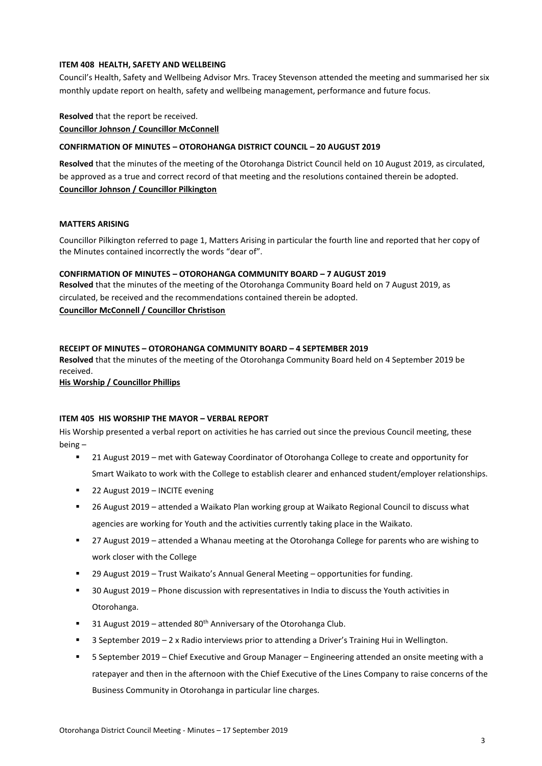#### **ITEM 408 HEALTH, SAFETY AND WELLBEING**

Council's Health, Safety and Wellbeing Advisor Mrs. Tracey Stevenson attended the meeting and summarised her six monthly update report on health, safety and wellbeing management, performance and future focus.

**Resolved** that the report be received.

**Councillor Johnson / Councillor McConnell**

#### **CONFIRMATION OF MINUTES – OTOROHANGA DISTRICT COUNCIL – 20 AUGUST 2019**

**Resolved** that the minutes of the meeting of the Otorohanga District Council held on 10 August 2019, as circulated, be approved as a true and correct record of that meeting and the resolutions contained therein be adopted. **Councillor Johnson / Councillor Pilkington**

#### **MATTERS ARISING**

Councillor Pilkington referred to page 1, Matters Arising in particular the fourth line and reported that her copy of the Minutes contained incorrectly the words "dear of".

#### **CONFIRMATION OF MINUTES – OTOROHANGA COMMUNITY BOARD – 7 AUGUST 2019**

**Resolved** that the minutes of the meeting of the Otorohanga Community Board held on 7 August 2019, as circulated, be received and the recommendations contained therein be adopted. **Councillor McConnell / Councillor Christison**

#### **RECEIPT OF MINUTES – OTOROHANGA COMMUNITY BOARD – 4 SEPTEMBER 2019**

**Resolved** that the minutes of the meeting of the Otorohanga Community Board held on 4 September 2019 be received.

**His Worship / Councillor Phillips**

#### **ITEM 405 HIS WORSHIP THE MAYOR – VERBAL REPORT**

His Worship presented a verbal report on activities he has carried out since the previous Council meeting, these being –

- 21 August 2019 met with Gateway Coordinator of Otorohanga College to create and opportunity for Smart Waikato to work with the College to establish clearer and enhanced student/employer relationships.
- 22 August 2019 INCITE evening
- 26 August 2019 attended a Waikato Plan working group at Waikato Regional Council to discuss what agencies are working for Youth and the activities currently taking place in the Waikato.
- 27 August 2019 attended a Whanau meeting at the Otorohanga College for parents who are wishing to work closer with the College
- 29 August 2019 Trust Waikato's Annual General Meeting opportunities for funding.
- 30 August 2019 Phone discussion with representatives in India to discuss the Youth activities in Otorohanga.
- 31 August 2019 attended  $80<sup>th</sup>$  Anniversary of the Otorohanga Club.
- 3 September 2019 2 x Radio interviews prior to attending a Driver's Training Hui in Wellington.
- 5 September 2019 Chief Executive and Group Manager Engineering attended an onsite meeting with a ratepayer and then in the afternoon with the Chief Executive of the Lines Company to raise concerns of the Business Community in Otorohanga in particular line charges.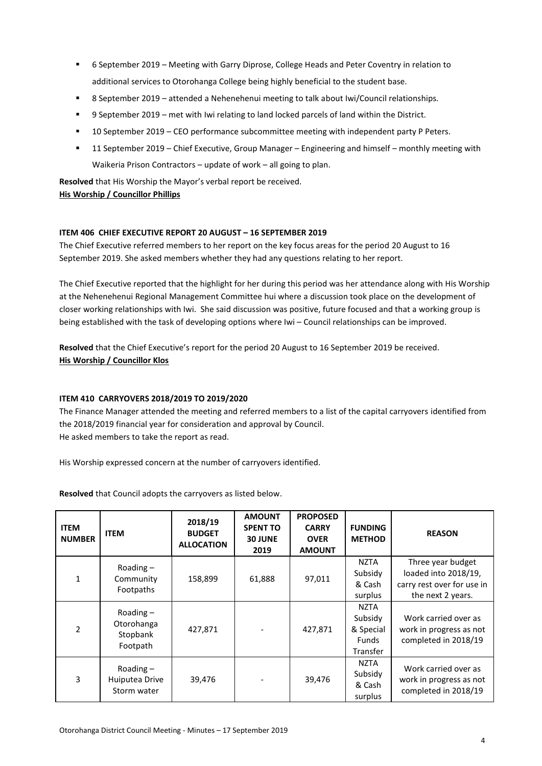- 6 September 2019 Meeting with Garry Diprose, College Heads and Peter Coventry in relation to additional services to Otorohanga College being highly beneficial to the student base.
- 8 September 2019 attended a Nehenehenui meeting to talk about Iwi/Council relationships.
- 9 September 2019 met with Iwi relating to land locked parcels of land within the District.
- 10 September 2019 CEO performance subcommittee meeting with independent party P Peters.
- 11 September 2019 Chief Executive, Group Manager Engineering and himself monthly meeting with Waikeria Prison Contractors – update of work – all going to plan.

**Resolved** that His Worship the Mayor's verbal report be received. **His Worship / Councillor Phillips**

#### **ITEM 406 CHIEF EXECUTIVE REPORT 20 AUGUST – 16 SEPTEMBER 2019**

The Chief Executive referred members to her report on the key focus areas for the period 20 August to 16 September 2019. She asked members whether they had any questions relating to her report.

The Chief Executive reported that the highlight for her during this period was her attendance along with His Worship at the Nehenehenui Regional Management Committee hui where a discussion took place on the development of closer working relationships with Iwi. She said discussion was positive, future focused and that a working group is being established with the task of developing options where Iwi – Council relationships can be improved.

**Resolved** that the Chief Executive's report for the period 20 August to 16 September 2019 be received. **His Worship / Councillor Klos**

#### **ITEM 410 CARRYOVERS 2018/2019 TO 2019/2020**

The Finance Manager attended the meeting and referred members to a list of the capital carryovers identified from the 2018/2019 financial year for consideration and approval by Council. He asked members to take the report as read.

His Worship expressed concern at the number of carryovers identified.

**Resolved** that Council adopts the carryovers as listed below.

| <b>ITEM</b><br><b>NUMBER</b> | <b>ITEM</b>                                       | 2018/19<br><b>BUDGET</b><br><b>ALLOCATION</b> | <b>AMOUNT</b><br><b>SPENT TO</b><br><b>30 JUNE</b><br>2019 | <b>PROPOSED</b><br><b>CARRY</b><br><b>OVER</b><br><b>AMOUNT</b> | <b>FUNDING</b><br><b>METHOD</b>                          | <b>REASON</b>                                                                                |
|------------------------------|---------------------------------------------------|-----------------------------------------------|------------------------------------------------------------|-----------------------------------------------------------------|----------------------------------------------------------|----------------------------------------------------------------------------------------------|
| 1                            | Roading $-$<br>Community<br>Footpaths             | 158,899                                       | 61,888                                                     | 97,011                                                          | <b>NZTA</b><br>Subsidy<br>& Cash<br>surplus              | Three year budget<br>loaded into 2018/19,<br>carry rest over for use in<br>the next 2 years. |
| $\mathfrak{p}$               | Roading $-$<br>Otorohanga<br>Stopbank<br>Footpath | 427,871                                       |                                                            | 427,871                                                         | NZTA<br>Subsidy<br>& Special<br><b>Funds</b><br>Transfer | Work carried over as<br>work in progress as not<br>completed in 2018/19                      |
| 3                            | Roading $-$<br>Huiputea Drive<br>Storm water      | 39,476                                        |                                                            | 39,476                                                          | NZTA<br>Subsidy<br>& Cash<br>surplus                     | Work carried over as<br>work in progress as not<br>completed in 2018/19                      |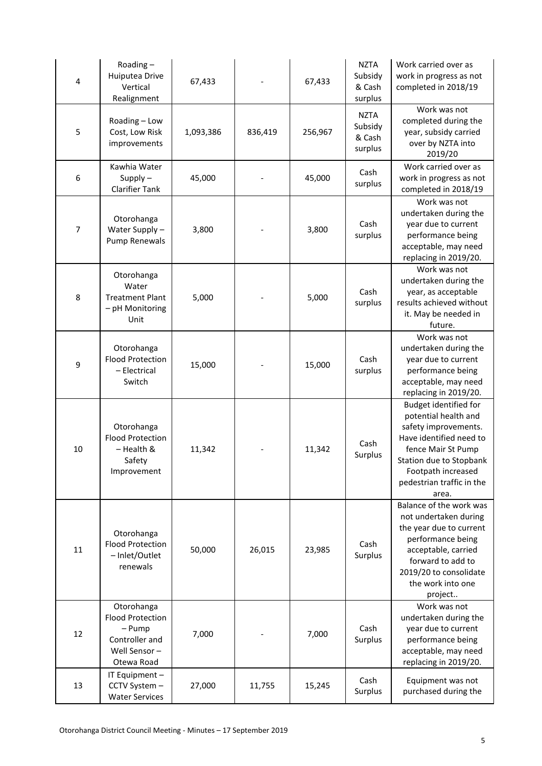| 4  | Roading-<br>Huiputea Drive<br>Vertical<br>Realignment                                           | 67,433    |         | 67,433  | <b>NZTA</b><br>Subsidy<br>& Cash<br>surplus | Work carried over as<br>work in progress as not<br>completed in 2018/19                                                                                                                                              |
|----|-------------------------------------------------------------------------------------------------|-----------|---------|---------|---------------------------------------------|----------------------------------------------------------------------------------------------------------------------------------------------------------------------------------------------------------------------|
| 5  | Roading - Low<br>Cost, Low Risk<br>improvements                                                 | 1,093,386 | 836,419 | 256,967 | <b>NZTA</b><br>Subsidy<br>& Cash<br>surplus | Work was not<br>completed during the<br>year, subsidy carried<br>over by NZTA into<br>2019/20                                                                                                                        |
| 6  | Kawhia Water<br>Supply $-$<br><b>Clarifier Tank</b>                                             | 45,000    |         | 45,000  | Cash<br>surplus                             | Work carried over as<br>work in progress as not<br>completed in 2018/19                                                                                                                                              |
| 7  | Otorohanga<br>Water Supply-<br><b>Pump Renewals</b>                                             | 3,800     |         | 3,800   | Cash<br>surplus                             | Work was not<br>undertaken during the<br>year due to current<br>performance being<br>acceptable, may need<br>replacing in 2019/20.                                                                                   |
| 8  | Otorohanga<br>Water<br><b>Treatment Plant</b><br>- pH Monitoring<br>Unit                        | 5,000     |         | 5,000   | Cash<br>surplus                             | Work was not<br>undertaken during the<br>year, as acceptable<br>results achieved without<br>it. May be needed in<br>future.                                                                                          |
| 9  | Otorohanga<br><b>Flood Protection</b><br>- Electrical<br>Switch                                 | 15,000    |         | 15,000  | Cash<br>surplus                             | Work was not<br>undertaken during the<br>year due to current<br>performance being<br>acceptable, may need<br>replacing in 2019/20.                                                                                   |
| 10 | Otorohanga<br><b>Flood Protection</b><br>- Health &<br>Safety<br>Improvement                    | 11,342    |         | 11,342  | Cash<br>Surplus                             | <b>Budget identified for</b><br>potential health and<br>safety improvements.<br>Have identified need to<br>fence Mair St Pump<br>Station due to Stopbank<br>Footpath increased<br>pedestrian traffic in the<br>area. |
| 11 | Otorohanga<br><b>Flood Protection</b><br>- Inlet/Outlet<br>renewals                             | 50,000    | 26,015  | 23,985  | Cash<br>Surplus                             | Balance of the work was<br>not undertaken during<br>the year due to current<br>performance being<br>acceptable, carried<br>forward to add to<br>2019/20 to consolidate<br>the work into one<br>project               |
| 12 | Otorohanga<br><b>Flood Protection</b><br>- Pump<br>Controller and<br>Well Sensor-<br>Otewa Road | 7,000     |         | 7,000   | Cash<br>Surplus                             | Work was not<br>undertaken during the<br>year due to current<br>performance being<br>acceptable, may need<br>replacing in 2019/20.                                                                                   |
| 13 | IT Equipment -<br>CCTV System -<br><b>Water Services</b>                                        | 27,000    | 11,755  | 15,245  | Cash<br>Surplus                             | Equipment was not<br>purchased during the                                                                                                                                                                            |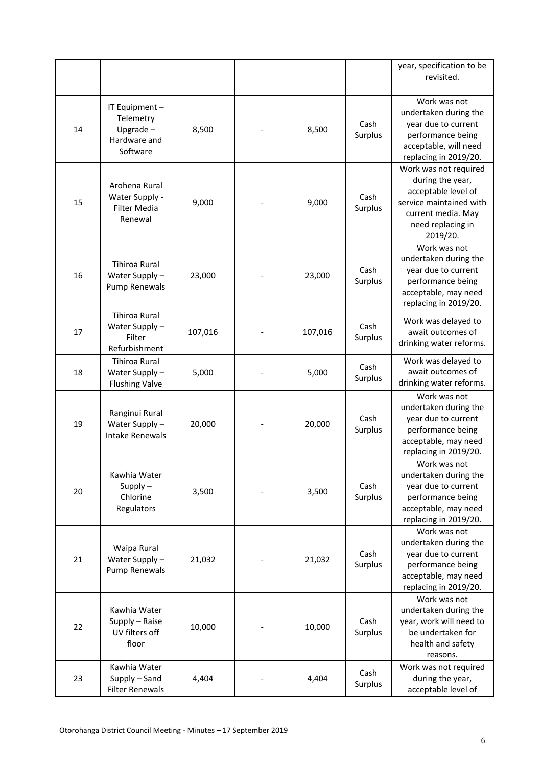|    |                                                                        |         |         |                 | year, specification to be<br>revisited.                                                                                                            |
|----|------------------------------------------------------------------------|---------|---------|-----------------|----------------------------------------------------------------------------------------------------------------------------------------------------|
| 14 | IT Equipment -<br>Telemetry<br>Upgrade $-$<br>Hardware and<br>Software | 8,500   | 8,500   | Cash<br>Surplus | Work was not<br>undertaken during the<br>year due to current<br>performance being<br>acceptable, will need<br>replacing in 2019/20.                |
| 15 | Arohena Rural<br>Water Supply -<br><b>Filter Media</b><br>Renewal      | 9,000   | 9,000   | Cash<br>Surplus | Work was not required<br>during the year,<br>acceptable level of<br>service maintained with<br>current media. May<br>need replacing in<br>2019/20. |
| 16 | <b>Tihiroa Rural</b><br>Water Supply-<br>Pump Renewals                 | 23,000  | 23,000  | Cash<br>Surplus | Work was not<br>undertaken during the<br>year due to current<br>performance being<br>acceptable, may need<br>replacing in 2019/20.                 |
| 17 | <b>Tihiroa Rural</b><br>Water Supply -<br>Filter<br>Refurbishment      | 107,016 | 107,016 | Cash<br>Surplus | Work was delayed to<br>await outcomes of<br>drinking water reforms.                                                                                |
| 18 | <b>Tihiroa Rural</b><br>Water Supply-<br><b>Flushing Valve</b>         | 5,000   | 5,000   | Cash<br>Surplus | Work was delayed to<br>await outcomes of<br>drinking water reforms.                                                                                |
| 19 | Ranginui Rural<br>Water Supply -<br><b>Intake Renewals</b>             | 20,000  | 20,000  | Cash<br>Surplus | Work was not<br>undertaken during the<br>year due to current<br>performance being<br>acceptable, may need<br>replacing in 2019/20.                 |
| 20 | Kawhia Water<br>$Supply -$<br>Chlorine<br>Regulators                   | 3,500   | 3,500   | Cash<br>Surplus | Work was not<br>undertaken during the<br>year due to current<br>performance being<br>acceptable, may need<br>replacing in 2019/20.                 |
| 21 | Waipa Rural<br>Water Supply-<br>Pump Renewals                          | 21,032  | 21,032  | Cash<br>Surplus | Work was not<br>undertaken during the<br>year due to current<br>performance being<br>acceptable, may need<br>replacing in 2019/20.                 |
| 22 | Kawhia Water<br>Supply - Raise<br>UV filters off<br>floor              | 10,000  | 10,000  | Cash<br>Surplus | Work was not<br>undertaken during the<br>year, work will need to<br>be undertaken for<br>health and safety<br>reasons.                             |
| 23 | Kawhia Water<br>Supply - Sand<br><b>Filter Renewals</b>                | 4,404   | 4,404   | Cash<br>Surplus | Work was not required<br>during the year,<br>acceptable level of                                                                                   |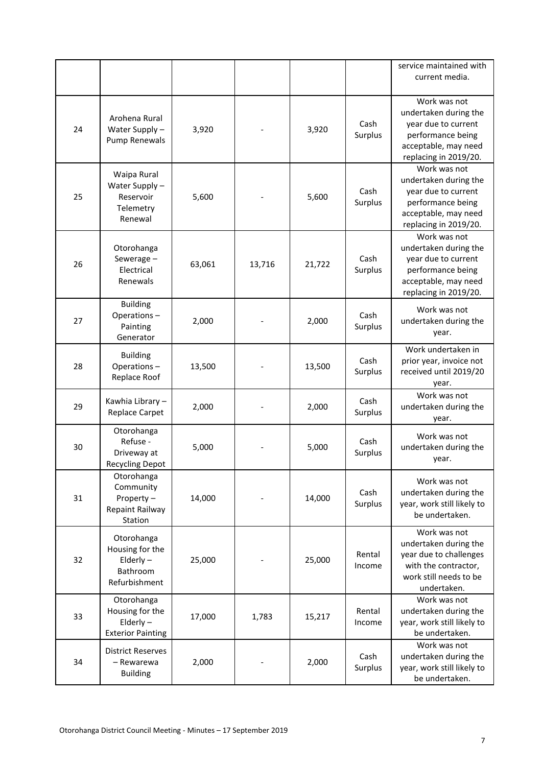|    |                                                                            |        |        |        |                  | service maintained with<br>current media.                                                                                          |
|----|----------------------------------------------------------------------------|--------|--------|--------|------------------|------------------------------------------------------------------------------------------------------------------------------------|
| 24 | Arohena Rural<br>Water Supply -<br>Pump Renewals                           | 3,920  |        | 3,920  | Cash<br>Surplus  | Work was not<br>undertaken during the<br>year due to current<br>performance being<br>acceptable, may need<br>replacing in 2019/20. |
| 25 | Waipa Rural<br>Water Supply-<br>Reservoir<br>Telemetry<br>Renewal          | 5,600  |        | 5,600  | Cash<br>Surplus  | Work was not<br>undertaken during the<br>year due to current<br>performance being<br>acceptable, may need<br>replacing in 2019/20. |
| 26 | Otorohanga<br>Sewerage-<br>Electrical<br>Renewals                          | 63,061 | 13,716 | 21,722 | Cash<br>Surplus  | Work was not<br>undertaken during the<br>year due to current<br>performance being<br>acceptable, may need<br>replacing in 2019/20. |
| 27 | <b>Building</b><br>Operations-<br>Painting<br>Generator                    | 2,000  |        | 2,000  | Cash<br>Surplus  | Work was not<br>undertaken during the<br>year.                                                                                     |
| 28 | <b>Building</b><br>Operations-<br>Replace Roof                             | 13,500 |        | 13,500 | Cash<br>Surplus  | Work undertaken in<br>prior year, invoice not<br>received until 2019/20<br>year.                                                   |
| 29 | Kawhia Library-<br>Replace Carpet                                          | 2,000  |        | 2,000  | Cash<br>Surplus  | Work was not<br>undertaken during the<br>year.                                                                                     |
| 30 | Otorohanga<br>Refuse -<br>Driveway at<br><b>Recycling Depot</b>            | 5,000  |        | 5,000  | Cash<br>Surplus  | Work was not<br>undertaken during the<br>year.                                                                                     |
| 31 | Otorohanga<br>Community<br>Property-<br>Repaint Railway<br>Station         | 14,000 |        | 14,000 | Cash<br>Surplus  | Work was not<br>undertaken during the<br>year, work still likely to<br>be undertaken.                                              |
| 32 | Otorohanga<br>Housing for the<br>$E$ Iderly –<br>Bathroom<br>Refurbishment | 25,000 |        | 25,000 | Rental<br>Income | Work was not<br>undertaken during the<br>year due to challenges<br>with the contractor,<br>work still needs to be<br>undertaken.   |
| 33 | Otorohanga<br>Housing for the<br>Elderly $-$<br><b>Exterior Painting</b>   | 17,000 | 1,783  | 15,217 | Rental<br>Income | Work was not<br>undertaken during the<br>year, work still likely to<br>be undertaken.                                              |
| 34 | <b>District Reserves</b><br>- Rewarewa<br><b>Building</b>                  | 2,000  |        | 2,000  | Cash<br>Surplus  | Work was not<br>undertaken during the<br>year, work still likely to<br>be undertaken.                                              |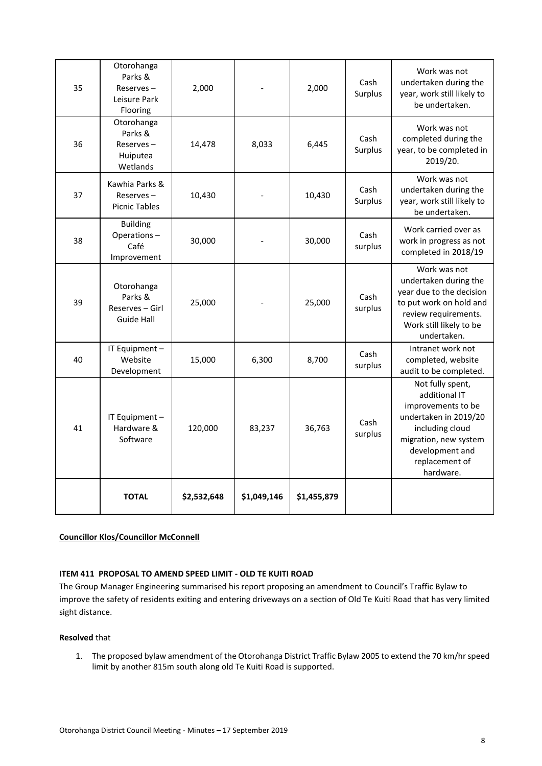| 35 | Otorohanga<br>Parks &<br>$Reserves -$<br>Leisure Park<br>Flooring | 2,000       |             | 2,000       | Cash<br>Surplus | Work was not<br>undertaken during the<br>year, work still likely to<br>be undertaken.                                                                                          |
|----|-------------------------------------------------------------------|-------------|-------------|-------------|-----------------|--------------------------------------------------------------------------------------------------------------------------------------------------------------------------------|
| 36 | Otorohanga<br>Parks &<br>Reserves-<br>Huiputea<br>Wetlands        | 14,478      | 8,033       | 6,445       | Cash<br>Surplus | Work was not<br>completed during the<br>year, to be completed in<br>2019/20.                                                                                                   |
| 37 | Kawhia Parks &<br>$Reserves -$<br><b>Picnic Tables</b>            | 10,430      |             | 10,430      | Cash<br>Surplus | Work was not<br>undertaken during the<br>year, work still likely to<br>be undertaken.                                                                                          |
| 38 | <b>Building</b><br>Operations-<br>Café<br>Improvement             | 30,000      |             | 30,000      | Cash<br>surplus | Work carried over as<br>work in progress as not<br>completed in 2018/19                                                                                                        |
| 39 | Otorohanga<br>Parks &<br>Reserves - Girl<br>Guide Hall            | 25,000      |             | 25,000      | Cash<br>surplus | Work was not<br>undertaken during the<br>year due to the decision<br>to put work on hold and<br>review requirements.<br>Work still likely to be<br>undertaken.                 |
| 40 | IT Equipment -<br>Website<br>Development                          | 15,000      | 6,300       | 8,700       | Cash<br>surplus | Intranet work not<br>completed, website<br>audit to be completed.                                                                                                              |
| 41 | IT Equipment -<br>Hardware &<br>Software                          | 120,000     | 83,237      | 36,763      | Cash<br>surplus | Not fully spent,<br>additional IT<br>improvements to be<br>undertaken in 2019/20<br>including cloud<br>migration, new system<br>development and<br>replacement of<br>hardware. |
|    | <b>TOTAL</b>                                                      | \$2,532,648 | \$1,049,146 | \$1,455,879 |                 |                                                                                                                                                                                |

#### **Councillor Klos/Councillor McConnell**

#### **ITEM 411 PROPOSAL TO AMEND SPEED LIMIT - OLD TE KUITI ROAD**

The Group Manager Engineering summarised his report proposing an amendment to Council's Traffic Bylaw to improve the safety of residents exiting and entering driveways on a section of Old Te Kuiti Road that has very limited sight distance.

#### **Resolved** that

1. The proposed bylaw amendment of the Otorohanga District Traffic Bylaw 2005 to extend the 70 km/hr speed limit by another 815m south along old Te Kuiti Road is supported.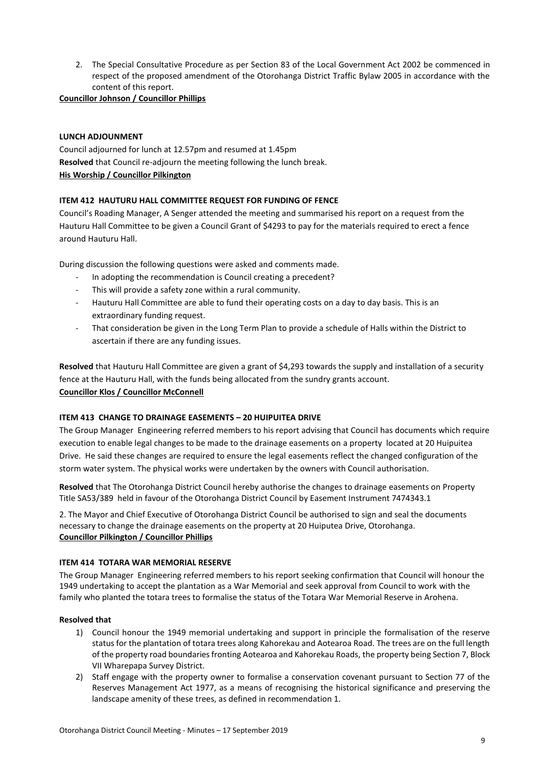2. The Special Consultative Procedure as per Section 83 of the Local Government Act 2002 be commenced in respect of the proposed amendment of the Otorohanga District Traffic Bylaw 2005 in accordance with the content of this report.

**Councillor Johnson / Councillor Phillips**

#### **LUNCH ADJOUNMENT**

Council adjourned for lunch at 12.57pm and resumed at 1.45pm **Resolved** that Council re-adjourn the meeting following the lunch break. **His Worship / Councillor Pilkington**

#### **ITEM 412 HAUTURU HALL COMMITTEE REQUEST FOR FUNDING OF FENCE**

Council's Roading Manager, A Senger attended the meeting and summarised his report on a request from the Hauturu Hall Committee to be given a Council Grant of \$4293 to pay for the materials required to erect a fence around Hauturu Hall.

During discussion the following questions were asked and comments made.

- In adopting the recommendation is Council creating a precedent?
- This will provide a safety zone within a rural community.
- Hauturu Hall Committee are able to fund their operating costs on a day to day basis. This is an extraordinary funding request.
- That consideration be given in the Long Term Plan to provide a schedule of Halls within the District to ascertain if there are any funding issues.

**Resolved** that Hauturu Hall Committee are given a grant of \$4,293 towards the supply and installation of a security fence at the Hauturu Hall, with the funds being allocated from the sundry grants account. **Councillor Klos / Councillor McConnell**

#### **ITEM 413 CHANGE TO DRAINAGE EASEMENTS – 20 HUIPUITEA DRIVE**

The Group Manager Engineering referred members to his report advising that Council has documents which require execution to enable legal changes to be made to the drainage easements on a property located at 20 Huipuitea Drive. He said these changes are required to ensure the legal easements reflect the changed configuration of the storm water system. The physical works were undertaken by the owners with Council authorisation.

**Resolved** that The Otorohanga District Council hereby authorise the changes to drainage easements on Property Title SA53/389 held in favour of the Otorohanga District Council by Easement Instrument 7474343.1

2. The Mayor and Chief Executive of Otorohanga District Council be authorised to sign and seal the documents necessary to change the drainage easements on the property at 20 Huiputea Drive, Otorohanga. **Councillor Pilkington / Councillor Phillips**

#### **ITEM 414 TOTARA WAR MEMORIAL RESERVE**

The Group Manager Engineering referred members to his report seeking confirmation that Council will honour the 1949 undertaking to accept the plantation as a War Memorial and seek approval from Council to work with the family who planted the totara trees to formalise the status of the Totara War Memorial Reserve in Arohena.

#### **Resolved that**

- 1) Council honour the 1949 memorial undertaking and support in principle the formalisation of the reserve status for the plantation of totara trees along Kahorekau and Aotearoa Road. The trees are on the full length of the property road boundaries fronting Aotearoa and Kahorekau Roads, the property being Section 7, Block VII Wharepapa Survey District.
- 2) Staff engage with the property owner to formalise a conservation covenant pursuant to Section 77 of the Reserves Management Act 1977, as a means of recognising the historical significance and preserving the landscape amenity of these trees, as defined in recommendation 1.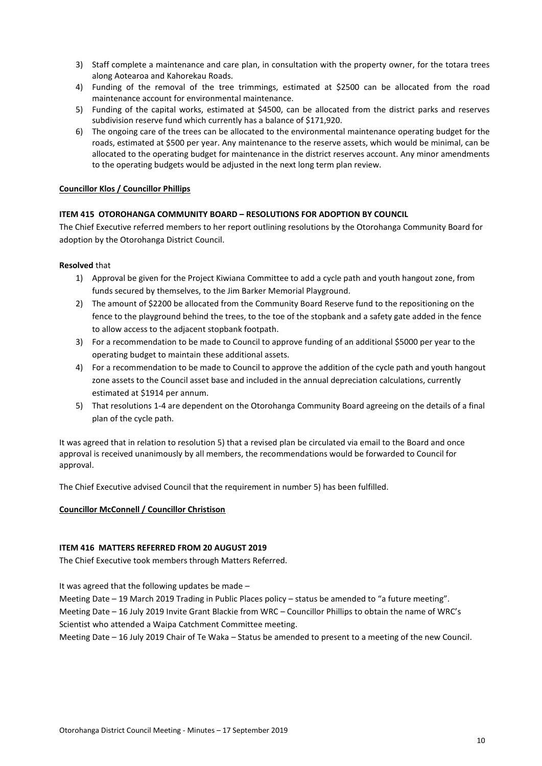- 3) Staff complete a maintenance and care plan, in consultation with the property owner, for the totara trees along Aotearoa and Kahorekau Roads.
- 4) Funding of the removal of the tree trimmings, estimated at \$2500 can be allocated from the road maintenance account for environmental maintenance.
- 5) Funding of the capital works, estimated at \$4500, can be allocated from the district parks and reserves subdivision reserve fund which currently has a balance of \$171,920.
- 6) The ongoing care of the trees can be allocated to the environmental maintenance operating budget for the roads, estimated at \$500 per year. Any maintenance to the reserve assets, which would be minimal, can be allocated to the operating budget for maintenance in the district reserves account. Any minor amendments to the operating budgets would be adjusted in the next long term plan review.

#### **Councillor Klos / Councillor Phillips**

#### **ITEM 415 OTOROHANGA COMMUNITY BOARD – RESOLUTIONS FOR ADOPTION BY COUNCIL**

The Chief Executive referred members to her report outlining resolutions by the Otorohanga Community Board for adoption by the Otorohanga District Council.

#### **Resolved** that

- 1) Approval be given for the Project Kiwiana Committee to add a cycle path and youth hangout zone, from funds secured by themselves, to the Jim Barker Memorial Playground.
- 2) The amount of \$2200 be allocated from the Community Board Reserve fund to the repositioning on the fence to the playground behind the trees, to the toe of the stopbank and a safety gate added in the fence to allow access to the adjacent stopbank footpath.
- 3) For a recommendation to be made to Council to approve funding of an additional \$5000 per year to the operating budget to maintain these additional assets.
- 4) For a recommendation to be made to Council to approve the addition of the cycle path and youth hangout zone assets to the Council asset base and included in the annual depreciation calculations, currently estimated at \$1914 per annum.
- 5) That resolutions 1-4 are dependent on the Otorohanga Community Board agreeing on the details of a final plan of the cycle path.

It was agreed that in relation to resolution 5) that a revised plan be circulated via email to the Board and once approval is received unanimously by all members, the recommendations would be forwarded to Council for approval.

The Chief Executive advised Council that the requirement in number 5) has been fulfilled.

#### **Councillor McConnell / Councillor Christison**

#### **ITEM 416 MATTERS REFERRED FROM 20 AUGUST 2019**

The Chief Executive took members through Matters Referred.

It was agreed that the following updates be made –

Meeting Date – 19 March 2019 Trading in Public Places policy – status be amended to "a future meeting". Meeting Date – 16 July 2019 Invite Grant Blackie from WRC – Councillor Phillips to obtain the name of WRC's

Scientist who attended a Waipa Catchment Committee meeting.

Meeting Date – 16 July 2019 Chair of Te Waka – Status be amended to present to a meeting of the new Council.